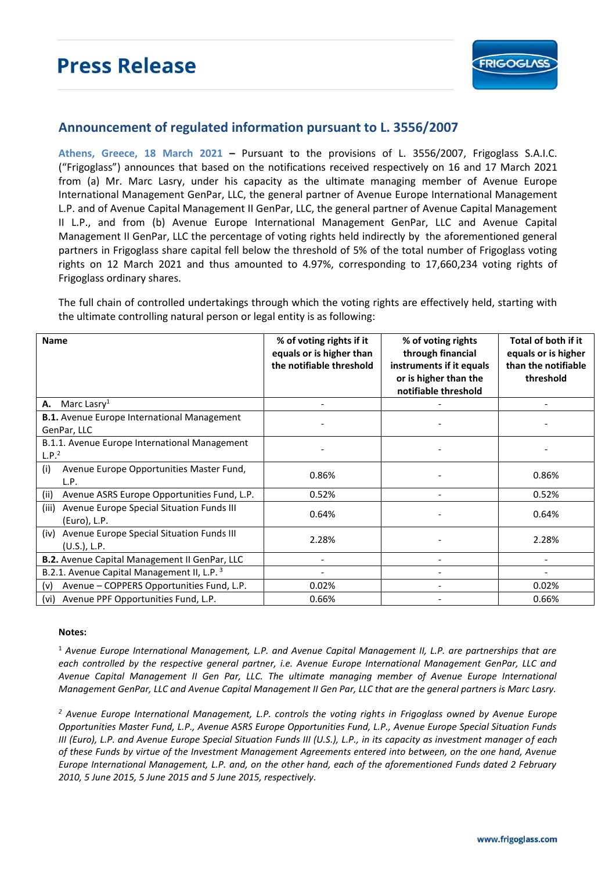

## **Announcement of regulated information pursuant to L. 3556/2007**

**Athens, Greece, 18 March 2021 –** Pursuant to the provisions of L. 3556/2007, Frigoglass S.A.I.C. ("Frigoglass") announces that based on the notifications received respectively on 16 and 17 March 2021 from (a) Mr. Marc Lasry, under his capacity as the ultimate managing member of Avenue Europe International Management GenPar, LLC, the general partner of Avenue Europe International Management L.P. and of Avenue Capital Management II GenPar, LLC, the general partner of Avenue Capital Management II L.P., and from (b) Avenue Europe International Management GenPar, LLC and Avenue Capital Management II GenPar, LLC the percentage of voting rights held indirectly by the aforementioned general partners in Frigoglass share capital fell below the threshold of 5% of the total number of Frigoglass voting rights on 12 March 2021 and thus amounted to 4.97%, corresponding to 17,660,234 voting rights of Frigoglass ordinary shares.

The full chain of controlled undertakings through which the voting rights are effectively held, starting with the ultimate controlling natural person or legal entity is as following:

| <b>Name</b>                                                          | % of voting rights if it<br>equals or is higher than<br>the notifiable threshold | % of voting rights<br>through financial<br>instruments if it equals<br>or is higher than the<br>notifiable threshold | Total of both if it<br>equals or is higher<br>than the notifiable<br>threshold |
|----------------------------------------------------------------------|----------------------------------------------------------------------------------|----------------------------------------------------------------------------------------------------------------------|--------------------------------------------------------------------------------|
| Marc Lasry <sup>1</sup><br>А.                                        |                                                                                  |                                                                                                                      |                                                                                |
| <b>B.1.</b> Avenue Europe International Management<br>GenPar, LLC    |                                                                                  |                                                                                                                      |                                                                                |
| B.1.1. Avenue Europe International Management<br>L.P. <sup>2</sup>   |                                                                                  |                                                                                                                      |                                                                                |
| Avenue Europe Opportunities Master Fund,<br>(i)<br>L.P.              | 0.86%                                                                            |                                                                                                                      | 0.86%                                                                          |
| Avenue ASRS Europe Opportunities Fund, L.P.<br>(ii)                  | 0.52%                                                                            | $\overline{\phantom{0}}$                                                                                             | 0.52%                                                                          |
| Avenue Europe Special Situation Funds III<br>(iii)<br>(Euro), L.P.   | 0.64%                                                                            |                                                                                                                      | 0.64%                                                                          |
| Avenue Europe Special Situation Funds III<br>(iv)<br>$(U.S.)$ , L.P. | 2.28%                                                                            |                                                                                                                      | 2.28%                                                                          |
| B.2. Avenue Capital Management II GenPar, LLC                        |                                                                                  |                                                                                                                      |                                                                                |
| B.2.1. Avenue Capital Management II, L.P. <sup>3</sup>               | $\qquad \qquad \blacksquare$                                                     |                                                                                                                      |                                                                                |
| Avenue - COPPERS Opportunities Fund, L.P.<br>(v)                     | 0.02%                                                                            |                                                                                                                      | 0.02%                                                                          |
| Avenue PPF Opportunities Fund, L.P.<br>(vi)                          | 0.66%                                                                            |                                                                                                                      | 0.66%                                                                          |

## **Notes:**

<sup>1</sup> *Avenue Europe International Management, L.P. and Avenue Capital Management II, L.P. are partnerships that are each controlled by the respective general partner, i.e. Avenue Europe International Management GenPar, LLC and Avenue Capital Management II Gen Par, LLC. The ultimate managing member of Avenue Europe International Management GenPar, LLC and Avenue Capital Management II Gen Par, LLC that are the general partners is Marc Lasry.* 

*<sup>2</sup> Avenue Europe International Management, L.P. controls the voting rights in Frigoglass owned by Avenue Europe Opportunities Master Fund, L.P., Avenue ASRS Europe Opportunities Fund, L.P., Avenue Europe Special Situation Funds III (Euro), L.P. and Avenue Europe Special Situation Funds III (U.S.), L.P., in its capacity as investment manager of each of these Funds by virtue of the Investment Management Agreements entered into between, on the one hand, Avenue Europe International Management, L.P. and, on the other hand, each of the aforementioned Funds dated 2 February 2010, 5 June 2015, 5 June 2015 and 5 June 2015, respectively.*